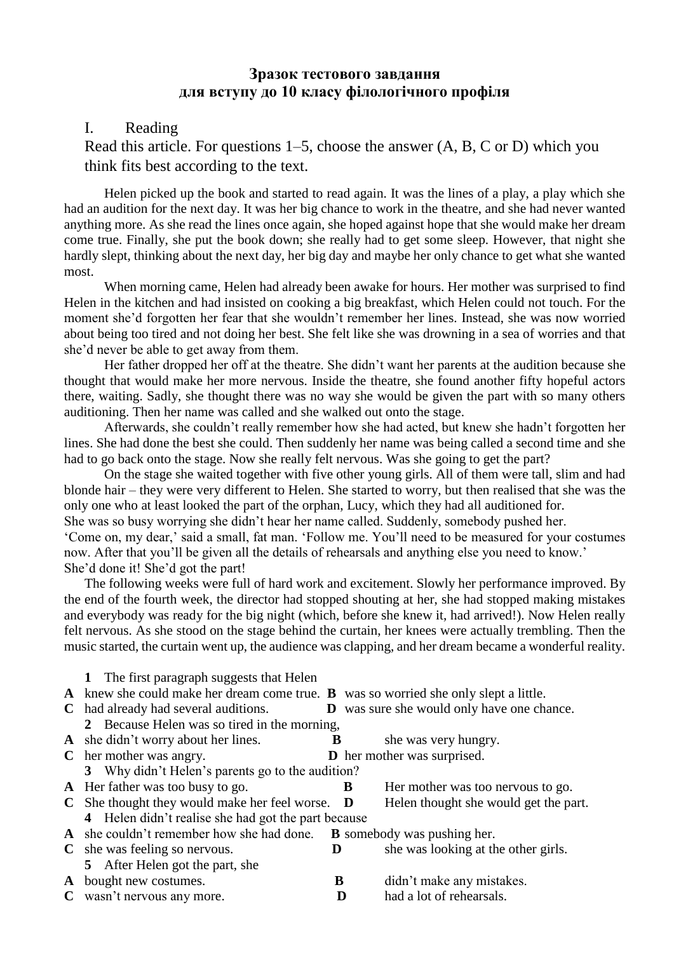## **Зразок тестового завдання для вступу до 10 класу філологічного профіля**

## I. Reading

Read this article. For questions 1–5, choose the answer (A, B, C or D) which you think fits best according to the text.

Helen picked up the book and started to read again. It was the lines of a play, a play which she had an audition for the next day. It was her big chance to work in the theatre, and she had never wanted anything more. As she read the lines once again, she hoped against hope that she would make her dream come true. Finally, she put the book down; she really had to get some sleep. However, that night she hardly slept, thinking about the next day, her big day and maybe her only chance to get what she wanted most.

When morning came, Helen had already been awake for hours. Her mother was surprised to find Helen in the kitchen and had insisted on cooking a big breakfast, which Helen could not touch. For the moment she'd forgotten her fear that she wouldn't remember her lines. Instead, she was now worried about being too tired and not doing her best. She felt like she was drowning in a sea of worries and that she'd never be able to get away from them.

Her father dropped her off at the theatre. She didn't want her parents at the audition because she thought that would make her more nervous. Inside the theatre, she found another fifty hopeful actors there, waiting. Sadly, she thought there was no way she would be given the part with so many others auditioning. Then her name was called and she walked out onto the stage.

Afterwards, she couldn't really remember how she had acted, but knew she hadn't forgotten her lines. She had done the best she could. Then suddenly her name was being called a second time and she had to go back onto the stage. Now she really felt nervous. Was she going to get the part?

On the stage she waited together with five other young girls. All of them were tall, slim and had blonde hair – they were very different to Helen. She started to worry, but then realised that she was the only one who at least looked the part of the orphan, Lucy, which they had all auditioned for.

She was so busy worrying she didn't hear her name called. Suddenly, somebody pushed her.

'Come on, my dear,' said a small, fat man. 'Follow me. You'll need to be measured for your costumes now. After that you'll be given all the details of rehearsals and anything else you need to know.' She'd done it! She'd got the part!

The following weeks were full of hard work and excitement. Slowly her performance improved. By the end of the fourth week, the director had stopped shouting at her, she had stopped making mistakes and everybody was ready for the big night (which, before she knew it, had arrived!). Now Helen really felt nervous. As she stood on the stage behind the curtain, her knees were actually trembling. Then the music started, the curtain went up, the audience was clapping, and her dream became a wonderful reality.

**1** The first paragraph suggests that Helen **A** knew she could make her dream come true. **B** was so worried she only slept a little. **C** had already had several auditions. **D** was sure she would only have one chance. **2** Because Helen was so tired in the morning, **A** she didn't worry about her lines. **B** she was very hungry. **C** her mother was angry. **D** her mother was surprised. **3** Why didn't Helen's parents go to the audition? **A** Her father was too busy to go. **B** Her mother was too nervous to go. **C** She thought they would make her feel worse. **D** Helen thought she would get the part. **4** Helen didn't realise she had got the part because **A** she couldn't remember how she had done. **B** somebody was pushing her. **C** she was feeling so nervous. **D** she was looking at the other girls. **5** After Helen got the part, she **A** bought new costumes. **B** didn't make any mistakes. **C** wasn't nervous any more. **D** had a lot of rehearsals.